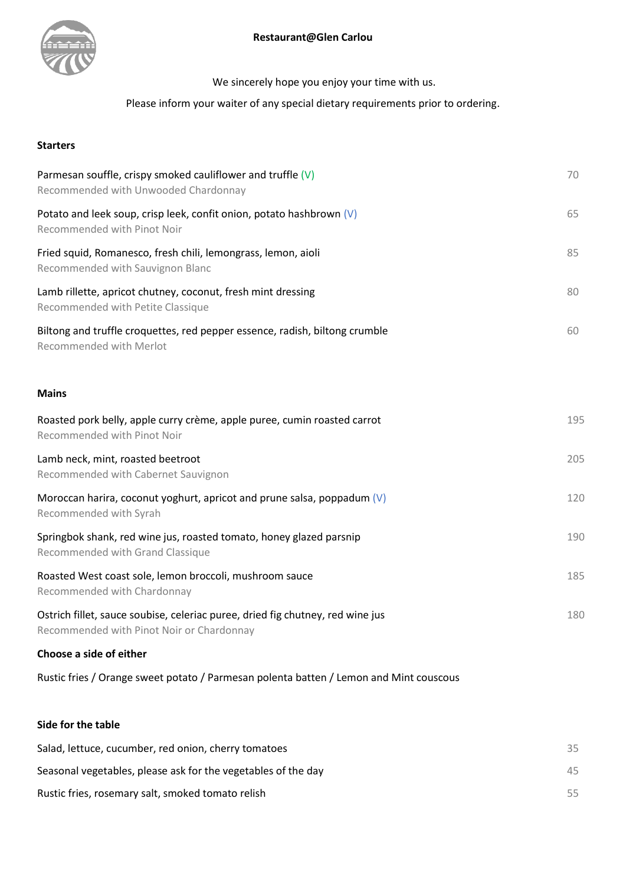

We sincerely hope you enjoy your time with us.

# Please inform your waiter of any special dietary requirements prior to ordering.

## **Starters**

| Parmesan souffle, crispy smoked cauliflower and truffle $(V)$<br>Recommended with Unwooded Chardonnay                       | 70  |
|-----------------------------------------------------------------------------------------------------------------------------|-----|
| Potato and leek soup, crisp leek, confit onion, potato hashbrown $(V)$<br>Recommended with Pinot Noir                       | 65  |
| Fried squid, Romanesco, fresh chili, lemongrass, lemon, aioli<br>Recommended with Sauvignon Blanc                           | 85  |
| Lamb rillette, apricot chutney, coconut, fresh mint dressing<br>Recommended with Petite Classique                           | 80  |
| Biltong and truffle croquettes, red pepper essence, radish, biltong crumble<br>Recommended with Merlot                      | 60  |
| <b>Mains</b>                                                                                                                |     |
| Roasted pork belly, apple curry crème, apple puree, cumin roasted carrot<br>Recommended with Pinot Noir                     | 195 |
| Lamb neck, mint, roasted beetroot<br>Recommended with Cabernet Sauvignon                                                    | 205 |
| Moroccan harira, coconut yoghurt, apricot and prune salsa, poppadum $(V)$<br>Recommended with Syrah                         | 120 |
| Springbok shank, red wine jus, roasted tomato, honey glazed parsnip<br>Recommended with Grand Classique                     | 190 |
| Roasted West coast sole, lemon broccoli, mushroom sauce<br>Recommended with Chardonnay                                      | 185 |
| Ostrich fillet, sauce soubise, celeriac puree, dried fig chutney, red wine jus<br>Recommended with Pinot Noir or Chardonnay | 180 |
| Choose a side of either                                                                                                     |     |
| Rustic fries / Orange sweet potato / Parmesan polenta batten / Lemon and Mint couscous                                      |     |
| Side for the table                                                                                                          |     |
| Salad, lettuce, cucumber, red onion, cherry tomatoes                                                                        | 35  |
| Seasonal vegetables, please ask for the vegetables of the day                                                               | 45  |

Rustic fries, rosemary salt, smoked tomato relish 65 and 100 minutes of the state of the state 55 and 55 and 55